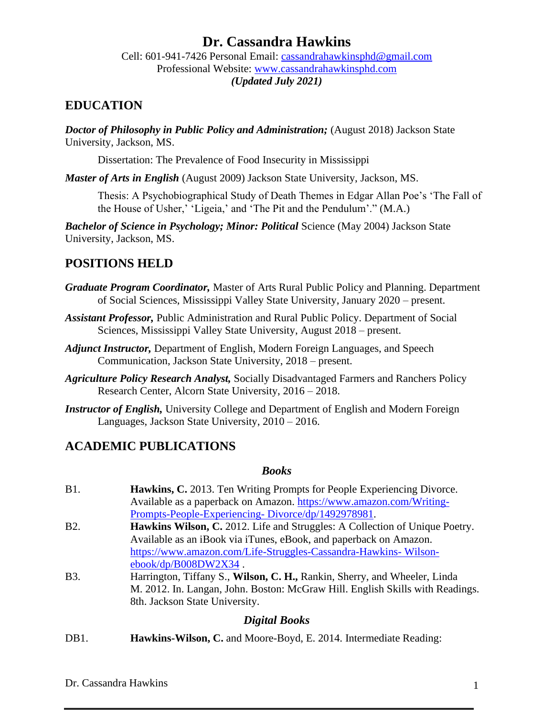# **Dr. Cassandra Hawkins**

Cell: 601-941-7426 Personal Email: [cassandrahawkinsphd@gmail.com](mailto:cassandrahawkinsphd@gmail.com) Professional Website: [www.cassandrahawkinsphd.com](http://www.cassandrahawkinsphd.com/) *(Updated July 2021)*

## **EDUCATION**

*Doctor of Philosophy in Public Policy and Administration;* (August 2018) Jackson State University, Jackson, MS.

Dissertation: The Prevalence of Food Insecurity in Mississippi

*Master of Arts in English* (August 2009) Jackson State University, Jackson, MS.

Thesis: A Psychobiographical Study of Death Themes in Edgar Allan Poe's 'The Fall of the House of Usher,' 'Ligeia,' and 'The Pit and the Pendulum'." (M.A.)

*Bachelor of Science in Psychology; Minor: Political* Science (May 2004) Jackson State University, Jackson, MS.

## **POSITIONS HELD**

- *Graduate Program Coordinator,* Master of Arts Rural Public Policy and Planning. Department of Social Sciences, Mississippi Valley State University, January 2020 – present.
- *Assistant Professor,* Public Administration and Rural Public Policy. Department of Social Sciences, Mississippi Valley State University, August 2018 – present.
- *Adjunct Instructor,* Department of English, Modern Foreign Languages, and Speech Communication, Jackson State University, 2018 – present.
- *Agriculture Policy Research Analyst,* Socially Disadvantaged Farmers and Ranchers Policy Research Center, Alcorn State University, 2016 – 2018.
- *Instructor of English,* University College and Department of English and Modern Foreign Languages, Jackson State University, 2010 – 2016.

## **ACADEMIC PUBLICATIONS**

#### *Books*

| <b>B1.</b>       | <b>Hawkins, C.</b> 2013. Ten Writing Prompts for People Experiencing Divorce.      |
|------------------|------------------------------------------------------------------------------------|
|                  | Available as a paperback on Amazon. https://www.amazon.com/Writing-                |
|                  | Prompts-People-Experiencing-Divorce/dp/1492978981.                                 |
| B <sub>2</sub> . | <b>Hawkins Wilson, C.</b> 2012. Life and Struggles: A Collection of Unique Poetry. |
|                  | Available as an iBook via iTunes, eBook, and paperback on Amazon.                  |
|                  | https://www.amazon.com/Life-Struggles-Cassandra-Hawkins-Wilson-                    |
|                  | $ebook/dp/B008DW2X34$ .                                                            |

B3. Harrington, Tiffany S., **Wilson, C. H.,** Rankin, Sherry, and Wheeler, Linda M. 2012. In. Langan, John. Boston: McGraw Hill. English Skills with Readings. 8th. Jackson State University.

#### *Digital Books*

DB1. **Hawkins-Wilson, C.** and Moore-Boyd, E. 2014. Intermediate Reading: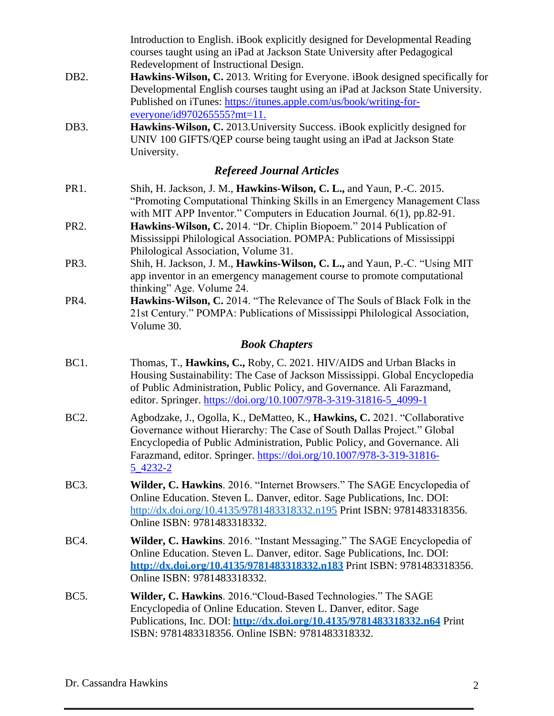|                   | Introduction to English. iBook explicitly designed for Developmental Reading<br>courses taught using an iPad at Jackson State University after Pedagogical<br>Redevelopment of Instructional Design.                                                                                                                   |
|-------------------|------------------------------------------------------------------------------------------------------------------------------------------------------------------------------------------------------------------------------------------------------------------------------------------------------------------------|
| DB <sub>2</sub> . | Hawkins-Wilson, C. 2013. Writing for Everyone. iBook designed specifically for<br>Developmental English courses taught using an iPad at Jackson State University.<br>Published on iTunes: https://itunes.apple.com/us/book/writing-for-<br>$everyone/id970265555?mt=11.$                                               |
| DB3.              | Hawkins-Wilson, C. 2013. University Success. iBook explicitly designed for<br>UNIV 100 GIFTS/QEP course being taught using an iPad at Jackson State<br>University.                                                                                                                                                     |
|                   | <b>Refereed Journal Articles</b>                                                                                                                                                                                                                                                                                       |
| PR1.              | Shih, H. Jackson, J. M., Hawkins-Wilson, C. L., and Yaun, P.-C. 2015.<br>"Promoting Computational Thinking Skills in an Emergency Management Class<br>with MIT APP Inventor." Computers in Education Journal. 6(1), pp.82-91.                                                                                          |
| PR <sub>2</sub> . | Hawkins-Wilson, C. 2014. "Dr. Chiplin Biopoem." 2014 Publication of<br>Mississippi Philological Association. POMPA: Publications of Mississippi<br>Philological Association, Volume 31.                                                                                                                                |
| PR3.              | Shih, H. Jackson, J. M., Hawkins-Wilson, C. L., and Yaun, P.-C. "Using MIT<br>app inventor in an emergency management course to promote computational<br>thinking" Age. Volume 24.                                                                                                                                     |
| PR4.              | Hawkins-Wilson, C. 2014. "The Relevance of The Souls of Black Folk in the<br>21st Century." POMPA: Publications of Mississippi Philological Association,<br>Volume 30.                                                                                                                                                 |
|                   | <b>Book Chapters</b>                                                                                                                                                                                                                                                                                                   |
| BC1.              | Thomas, T., Hawkins, C., Roby, C. 2021. HIV/AIDS and Urban Blacks in<br>Housing Sustainability: The Case of Jackson Mississippi. Global Encyclopedia<br>of Public Administration, Public Policy, and Governance. Ali Farazmand,<br>editor. Springer. https://doi.org/10.1007/978-3-319-31816-5_4099-1                  |
| <b>BC2.</b>       | Agbodzake, J., Ogolla, K., DeMatteo, K., Hawkins, C. 2021. "Collaborative<br>Governance without Hierarchy: The Case of South Dallas Project." Global<br>Encyclopedia of Public Administration, Public Policy, and Governance. Ali<br>Farazmand, editor. Springer. https://doi.org/10.1007/978-3-319-31816-<br>5_4232-2 |
| <b>BC3.</b>       | Wilder, C. Hawkins. 2016. "Internet Browsers." The SAGE Encyclopedia of<br>Online Education. Steven L. Danver, editor. Sage Publications, Inc. DOI:<br>http://dx.doi.org/10.4135/9781483318332.n195 Print ISBN: 9781483318356.<br>Online ISBN: 9781483318332.                                                          |
| <b>BC4.</b>       | Wilder, C. Hawkins. 2016. "Instant Messaging." The SAGE Encyclopedia of<br>Online Education. Steven L. Danver, editor. Sage Publications, Inc. DOI:<br>http://dx.doi.org/10.4135/9781483318332.n183 Print ISBN: 9781483318356.<br>Online ISBN: 9781483318332.                                                          |
| <b>BC5.</b>       | Wilder, C. Hawkins. 2016. "Cloud-Based Technologies." The SAGE<br>Encyclopedia of Online Education. Steven L. Danver, editor. Sage<br>Publications, Inc. DOI: http://dx.doi.org/10.4135/9781483318332.n64 Print<br>ISBN: 9781483318356. Online ISBN: 9781483318332.                                                    |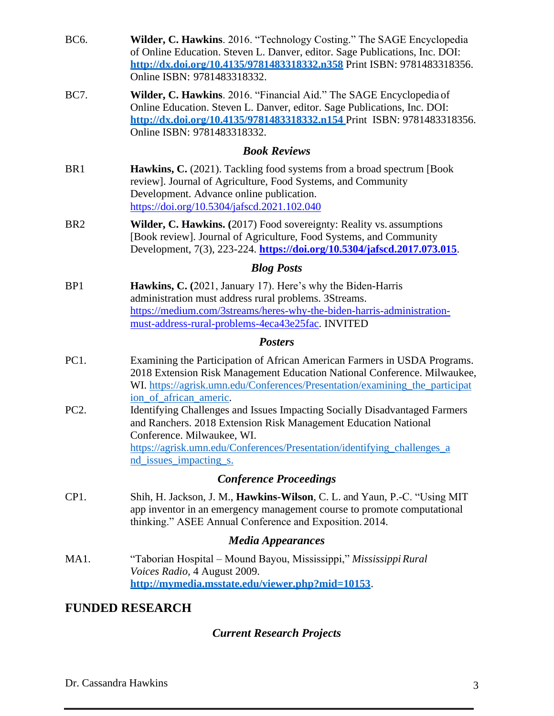| BC6.            | Wilder, C. Hawkins. 2016. "Technology Costing." The SAGE Encyclopedia<br>of Online Education. Steven L. Danver, editor. Sage Publications, Inc. DOI:<br>http://dx.doi.org/10.4135/9781483318332.n358 Print ISBN: 9781483318356.<br>Online ISBN: 9781483318332.                    |
|-----------------|-----------------------------------------------------------------------------------------------------------------------------------------------------------------------------------------------------------------------------------------------------------------------------------|
| BC7.            | Wilder, C. Hawkins. 2016. "Financial Aid." The SAGE Encyclopedia of<br>Online Education. Steven L. Danver, editor. Sage Publications, Inc. DOI:<br>http://dx.doi.org/10.4135/9781483318332.n154 Print ISBN: 9781483318356.<br>Online ISBN: 9781483318332.                         |
|                 | <b>Book Reviews</b>                                                                                                                                                                                                                                                               |
| BR <sub>1</sub> | Hawkins, C. (2021). Tackling food systems from a broad spectrum [Book<br>review]. Journal of Agriculture, Food Systems, and Community<br>Development. Advance online publication.<br>https://doi.org/10.5304/jafscd.2021.102.040                                                  |
| BR <sub>2</sub> | Wilder, C. Hawkins. (2017) Food sovereignty: Reality vs. assumptions<br>[Book review]. Journal of Agriculture, Food Systems, and Community<br>Development, 7(3), 223-224. https://doi.org/10.5304/jafscd.2017.073.015.                                                            |
|                 | <b>Blog Posts</b>                                                                                                                                                                                                                                                                 |
| BP <sub>1</sub> | Hawkins, C. (2021, January 17). Here's why the Biden-Harris<br>administration must address rural problems. 3Streams.<br>https://medium.com/3streams/heres-why-the-biden-harris-administration-<br>must-address-rural-problems-4eca43e25fac. INVITED                               |
|                 | <b>Posters</b>                                                                                                                                                                                                                                                                    |
| PC1.            | Examining the Participation of African American Farmers in USDA Programs.<br>2018 Extension Risk Management Education National Conference. Milwaukee,<br>WI. https://agrisk.umn.edu/Conferences/Presentation/examining_the_participat<br>ion_of_african_americ.                   |
| PC2.            | Identifying Challenges and Issues Impacting Socially Disadvantaged Farmers<br>and Ranchers. 2018 Extension Risk Management Education National<br>Conference. Milwaukee, WI.<br>https://agrisk.umn.edu/Conferences/Presentation/identifying_challenges_a<br>nd issues impacting s. |
|                 | <b>Conference Proceedings</b>                                                                                                                                                                                                                                                     |
| CP1.            | Shih, H. Jackson, J. M., Hawkins-Wilson, C. L. and Yaun, P.-C. "Using MIT<br>app inventor in an emergency management course to promote computational<br>thinking." ASEE Annual Conference and Exposition. 2014.                                                                   |
|                 | <b>Media Appearances</b>                                                                                                                                                                                                                                                          |
| MA1.            | "Taborian Hospital – Mound Bayou, Mississippi," Mississippi Rural<br>Voices Radio, 4 August 2009.<br>http://mymedia.msstate.edu/viewer.php?mid=10153.                                                                                                                             |
|                 | <b>FUNDED RESEARCH</b>                                                                                                                                                                                                                                                            |

# *Current Research Projects*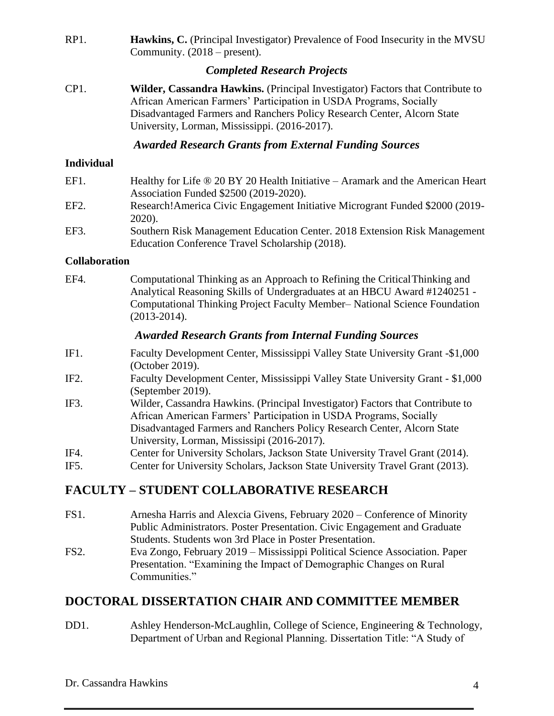RP1. **Hawkins, C.** (Principal Investigator) Prevalence of Food Insecurity in the MVSU Community. (2018 – present).

## *Completed Research Projects*

CP1. **Wilder, Cassandra Hawkins.** (Principal Investigator) Factors that Contribute to African American Farmers' Participation in USDA Programs, Socially Disadvantaged Farmers and Ranchers Policy Research Center, Alcorn State University, Lorman, Mississippi. (2016-2017).

## *Awarded Research Grants from External Funding Sources*

#### **Individual**

| EF1. | Healthy for Life ® 20 BY 20 Health Initiative – Aramark and the American Heart          |
|------|-----------------------------------------------------------------------------------------|
|      | Association Funded \$2500 (2019-2020).                                                  |
| EF2. | Research! America Civic Engagement Initiative Microgrant Funded \$2000 (2019-<br>2020). |
| EF3. | Southern Risk Management Education Center. 2018 Extension Risk Management               |
|      | Education Conference Travel Scholarship (2018).                                         |

#### **Collaboration**

EF4. Computational Thinking as an Approach to Refining the CriticalThinking and Analytical Reasoning Skills of Undergraduates at an HBCU Award #1240251 - Computational Thinking Project Faculty Member– National Science Foundation (2013-2014).

### *Awarded Research Grants from Internal Funding Sources*

- IF1. Faculty Development Center, Mississippi Valley State University Grant -\$1,000 (October 2019).
- IF2. Faculty Development Center, Mississippi Valley State University Grant \$1,000 (September 2019).
- IF3. Wilder, Cassandra Hawkins. (Principal Investigator) Factors that Contribute to African American Farmers' Participation in USDA Programs, Socially Disadvantaged Farmers and Ranchers Policy Research Center, Alcorn State University, Lorman, Mississipi (2016-2017).
- IF4. Center for University Scholars, Jackson State University Travel Grant (2014).
- IF5. Center for University Scholars, Jackson State University Travel Grant (2013).

## **FACULTY – STUDENT COLLABORATIVE RESEARCH**

- FS1. Arnesha Harris and Alexcia Givens, February 2020 Conference of Minority Public Administrators. Poster Presentation. Civic Engagement and Graduate Students. Students won 3rd Place in Poster Presentation.
- FS2. Eva Zongo, February 2019 Mississippi Political Science Association. Paper Presentation. "Examining the Impact of Demographic Changes on Rural Communities."

## **DOCTORAL DISSERTATION CHAIR AND COMMITTEE MEMBER**

DD1. Ashley Henderson-McLaughlin, College of Science, Engineering & Technology, Department of Urban and Regional Planning. Dissertation Title: "A Study of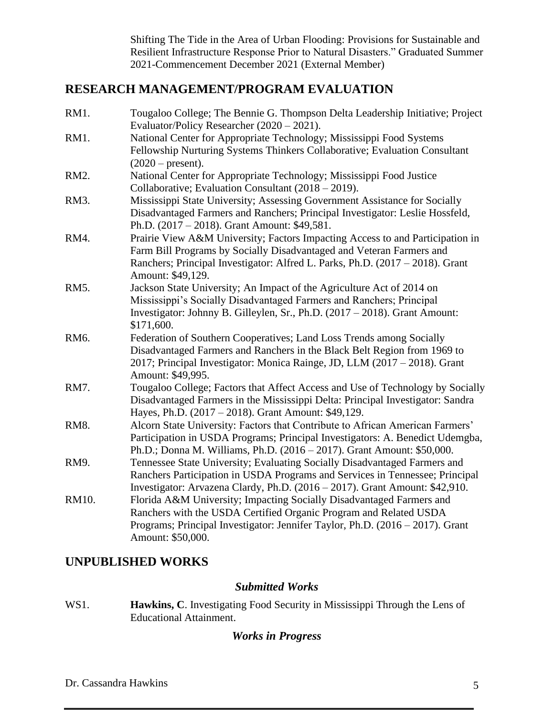Shifting The Tide in the Area of Urban Flooding: Provisions for Sustainable and Resilient Infrastructure Response Prior to Natural Disasters." Graduated Summer 2021-Commencement December 2021 (External Member)

## **RESEARCH MANAGEMENT/PROGRAM EVALUATION**

| RM1.  | Tougaloo College; The Bennie G. Thompson Delta Leadership Initiative; Project  |
|-------|--------------------------------------------------------------------------------|
|       | Evaluator/Policy Researcher (2020 - 2021).                                     |
| RM1.  | National Center for Appropriate Technology; Mississippi Food Systems           |
|       | Fellowship Nurturing Systems Thinkers Collaborative; Evaluation Consultant     |
|       | $(2020 - present).$                                                            |
| RM2.  | National Center for Appropriate Technology; Mississippi Food Justice           |
|       | Collaborative; Evaluation Consultant (2018 – 2019).                            |
| RM3.  | Mississippi State University; Assessing Government Assistance for Socially     |
|       | Disadvantaged Farmers and Ranchers; Principal Investigator: Leslie Hossfeld,   |
|       | Ph.D. (2017 – 2018). Grant Amount: \$49,581.                                   |
| RM4.  | Prairie View A&M University; Factors Impacting Access to and Participation in  |
|       | Farm Bill Programs by Socially Disadvantaged and Veteran Farmers and           |
|       | Ranchers; Principal Investigator: Alfred L. Parks, Ph.D. (2017 – 2018). Grant  |
|       | Amount: \$49,129.                                                              |
| RM5.  | Jackson State University; An Impact of the Agriculture Act of 2014 on          |
|       | Mississippi's Socially Disadvantaged Farmers and Ranchers; Principal           |
|       | Investigator: Johnny B. Gilleylen, Sr., Ph.D. (2017 – 2018). Grant Amount:     |
|       | \$171,600.                                                                     |
| RM6.  | Federation of Southern Cooperatives; Land Loss Trends among Socially           |
|       | Disadvantaged Farmers and Ranchers in the Black Belt Region from 1969 to       |
|       | 2017; Principal Investigator: Monica Rainge, JD, LLM (2017 - 2018). Grant      |
|       | Amount: \$49,995.                                                              |
| RM7.  | Tougaloo College; Factors that Affect Access and Use of Technology by Socially |
|       | Disadvantaged Farmers in the Mississippi Delta: Principal Investigator: Sandra |
|       | Hayes, Ph.D. (2017 – 2018). Grant Amount: \$49,129.                            |
| RM8.  | Alcorn State University: Factors that Contribute to African American Farmers'  |
|       | Participation in USDA Programs; Principal Investigators: A. Benedict Udemgba,  |
|       | Ph.D.; Donna M. Williams, Ph.D. (2016 - 2017). Grant Amount: \$50,000.         |
| RM9.  | Tennessee State University; Evaluating Socially Disadvantaged Farmers and      |
|       | Ranchers Participation in USDA Programs and Services in Tennessee; Principal   |
|       | Investigator: Arvazena Clardy, Ph.D. (2016 – 2017). Grant Amount: \$42,910.    |
| RM10. | Florida A&M University; Impacting Socially Disadvantaged Farmers and           |
|       | Ranchers with the USDA Certified Organic Program and Related USDA              |
|       | Programs; Principal Investigator: Jennifer Taylor, Ph.D. (2016 – 2017). Grant  |
|       | Amount: \$50,000.                                                              |

## **UNPUBLISHED WORKS**

#### *Submitted Works*

WS1. **Hawkins, C**. Investigating Food Security in Mississippi Through the Lens of Educational Attainment.

#### *Works in Progress*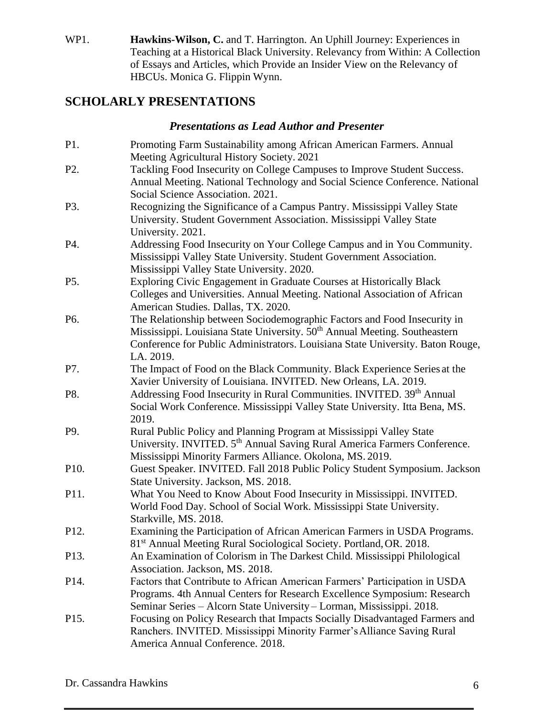WP1. **Hawkins-Wilson, C.** and T. Harrington. An Uphill Journey: Experiences in Teaching at a Historical Black University. Relevancy from Within: A Collection of Essays and Articles, which Provide an Insider View on the Relevancy of HBCUs. Monica G. Flippin Wynn.

# **SCHOLARLY PRESENTATIONS**

## *Presentations as Lead Author and Presenter*

| P1.               | Promoting Farm Sustainability among African American Farmers. Annual<br>Meeting Agricultural History Society. 2021                                                                                                                                                |
|-------------------|-------------------------------------------------------------------------------------------------------------------------------------------------------------------------------------------------------------------------------------------------------------------|
| P <sub>2</sub> .  | Tackling Food Insecurity on College Campuses to Improve Student Success.<br>Annual Meeting. National Technology and Social Science Conference. National<br>Social Science Association. 2021.                                                                      |
| P3.               | Recognizing the Significance of a Campus Pantry. Mississippi Valley State<br>University. Student Government Association. Mississippi Valley State<br>University. 2021.                                                                                            |
| P4.               | Addressing Food Insecurity on Your College Campus and in You Community.<br>Mississippi Valley State University. Student Government Association.<br>Mississippi Valley State University. 2020.                                                                     |
| P5.               | Exploring Civic Engagement in Graduate Courses at Historically Black<br>Colleges and Universities. Annual Meeting. National Association of African<br>American Studies. Dallas, TX. 2020.                                                                         |
| P6.               | The Relationship between Sociodemographic Factors and Food Insecurity in<br>Mississippi. Louisiana State University. 50 <sup>th</sup> Annual Meeting. Southeastern<br>Conference for Public Administrators. Louisiana State University. Baton Rouge,<br>LA. 2019. |
| P7.               | The Impact of Food on the Black Community. Black Experience Series at the<br>Xavier University of Louisiana. INVITED. New Orleans, LA. 2019.                                                                                                                      |
| P8.               | Addressing Food Insecurity in Rural Communities. INVITED. 39th Annual<br>Social Work Conference. Mississippi Valley State University. Itta Bena, MS.<br>2019.                                                                                                     |
| P9.               | Rural Public Policy and Planning Program at Mississippi Valley State<br>University. INVITED. 5 <sup>th</sup> Annual Saving Rural America Farmers Conference.<br>Mississippi Minority Farmers Alliance. Okolona, MS. 2019.                                         |
| P10.              | Guest Speaker. INVITED. Fall 2018 Public Policy Student Symposium. Jackson<br>State University. Jackson, MS. 2018.                                                                                                                                                |
| P11.              | What You Need to Know About Food Insecurity in Mississippi. INVITED.<br>World Food Day. School of Social Work. Mississippi State University.<br>Starkville, MS. 2018.                                                                                             |
| P12.              | Examining the Participation of African American Farmers in USDA Programs.<br>81 <sup>st</sup> Annual Meeting Rural Sociological Society. Portland, OR. 2018.                                                                                                      |
| P13.              | An Examination of Colorism in The Darkest Child. Mississippi Philological<br>Association. Jackson, MS. 2018.                                                                                                                                                      |
| P <sub>14</sub> . | Factors that Contribute to African American Farmers' Participation in USDA<br>Programs. 4th Annual Centers for Research Excellence Symposium: Research<br>Seminar Series - Alcorn State University - Lorman, Mississippi. 2018.                                   |
| P15.              | Focusing on Policy Research that Impacts Socially Disadvantaged Farmers and<br>Ranchers. INVITED. Mississippi Minority Farmer's Alliance Saving Rural<br>America Annual Conference. 2018.                                                                         |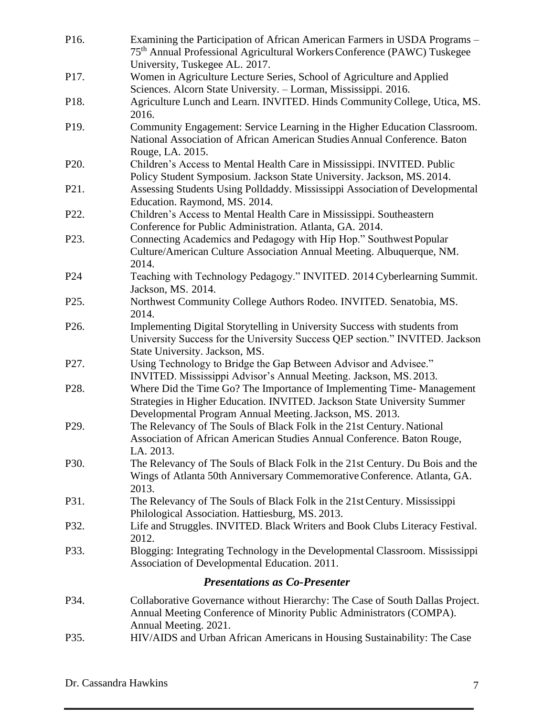| P16.              | Examining the Participation of African American Farmers in USDA Programs -<br>75 <sup>th</sup> Annual Professional Agricultural Workers Conference (PAWC) Tuskegee                                            |
|-------------------|---------------------------------------------------------------------------------------------------------------------------------------------------------------------------------------------------------------|
| P17.              | University, Tuskegee AL. 2017.<br>Women in Agriculture Lecture Series, School of Agriculture and Applied<br>Sciences. Alcorn State University. - Lorman, Mississippi. 2016.                                   |
| P18.              | Agriculture Lunch and Learn. INVITED. Hinds Community College, Utica, MS.<br>2016.                                                                                                                            |
| P <sub>19</sub> . | Community Engagement: Service Learning in the Higher Education Classroom.<br>National Association of African American Studies Annual Conference. Baton<br>Rouge, LA. 2015.                                    |
| P20.              | Children's Access to Mental Health Care in Mississippi. INVITED. Public<br>Policy Student Symposium. Jackson State University. Jackson, MS. 2014.                                                             |
| P21.              | Assessing Students Using Polldaddy. Mississippi Association of Developmental<br>Education. Raymond, MS. 2014.                                                                                                 |
| P22.              | Children's Access to Mental Health Care in Mississippi. Southeastern<br>Conference for Public Administration. Atlanta, GA. 2014.                                                                              |
| P23.              | Connecting Academics and Pedagogy with Hip Hop." Southwest Popular<br>Culture/American Culture Association Annual Meeting. Albuquerque, NM.<br>2014.                                                          |
| P <sub>24</sub>   | Teaching with Technology Pedagogy." INVITED. 2014 Cyberlearning Summit.<br>Jackson, MS. 2014.                                                                                                                 |
| P25.              | Northwest Community College Authors Rodeo. INVITED. Senatobia, MS.<br>2014.                                                                                                                                   |
| P <sub>26</sub> . | Implementing Digital Storytelling in University Success with students from<br>University Success for the University Success QEP section." INVITED. Jackson<br>State University. Jackson, MS.                  |
| P27.              | Using Technology to Bridge the Gap Between Advisor and Advisee."<br>INVITED. Mississippi Advisor's Annual Meeting. Jackson, MS. 2013.                                                                         |
| P <sub>28</sub> . | Where Did the Time Go? The Importance of Implementing Time-Management<br>Strategies in Higher Education. INVITED. Jackson State University Summer<br>Developmental Program Annual Meeting. Jackson, MS. 2013. |
| P <sub>29</sub> . | The Relevancy of The Souls of Black Folk in the 21st Century. National<br>Association of African American Studies Annual Conference. Baton Rouge,<br>LA. 2013.                                                |
| P30.              | The Relevancy of The Souls of Black Folk in the 21st Century. Du Bois and the<br>Wings of Atlanta 50th Anniversary Commemorative Conference. Atlanta, GA.<br>2013.                                            |
| P31.              | The Relevancy of The Souls of Black Folk in the 21st Century. Mississippi<br>Philological Association. Hattiesburg, MS. 2013.                                                                                 |
| P32.              | Life and Struggles. INVITED. Black Writers and Book Clubs Literacy Festival.<br>2012.                                                                                                                         |
| P33.              | Blogging: Integrating Technology in the Developmental Classroom. Mississippi<br>Association of Developmental Education. 2011.                                                                                 |
|                   | <b>Presentations as Co-Presenter</b>                                                                                                                                                                          |
| P34.              | Collaborative Governance without Hierarchy: The Case of South Dallas Project.<br>Annual Meeting Conference of Minority Public Administrators (COMPA).<br>Annual Meeting. 2021.                                |
| P35.              | HIV/AIDS and Urban African Americans in Housing Sustainability: The Case                                                                                                                                      |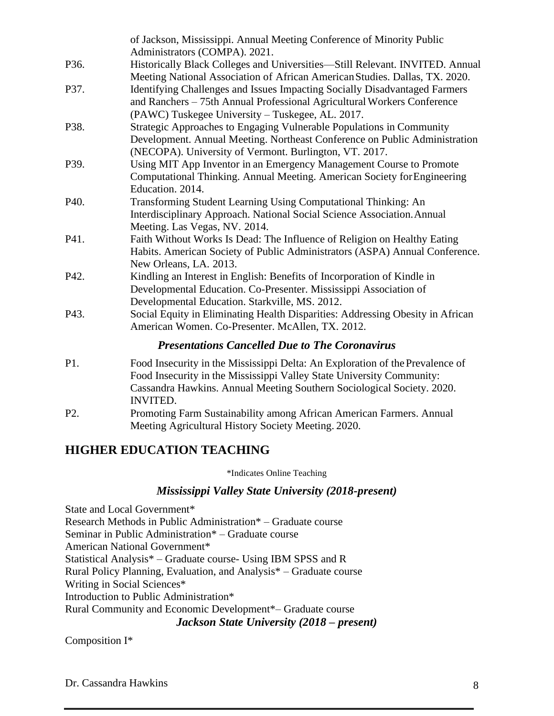|                   | of Jackson, Mississippi. Annual Meeting Conference of Minority Public<br>Administrators (COMPA). 2021.                                                                                                                                              |
|-------------------|-----------------------------------------------------------------------------------------------------------------------------------------------------------------------------------------------------------------------------------------------------|
| P <sub>36</sub> . | Historically Black Colleges and Universities-Still Relevant. INVITED. Annual<br>Meeting National Association of African American Studies. Dallas, TX. 2020.                                                                                         |
| P37.              | Identifying Challenges and Issues Impacting Socially Disadvantaged Farmers<br>and Ranchers - 75th Annual Professional Agricultural Workers Conference<br>(PAWC) Tuskegee University - Tuskegee, AL. 2017.                                           |
| P38.              | Strategic Approaches to Engaging Vulnerable Populations in Community<br>Development. Annual Meeting. Northeast Conference on Public Administration<br>(NECOPA). University of Vermont. Burlington, VT. 2017.                                        |
| P39.              | Using MIT App Inventor in an Emergency Management Course to Promote<br>Computational Thinking. Annual Meeting. American Society for Engineering<br>Education. 2014.                                                                                 |
| P40.              | Transforming Student Learning Using Computational Thinking: An<br>Interdisciplinary Approach. National Social Science Association. Annual<br>Meeting. Las Vegas, NV. 2014.                                                                          |
| P41.              | Faith Without Works Is Dead: The Influence of Religion on Healthy Eating<br>Habits. American Society of Public Administrators (ASPA) Annual Conference.<br>New Orleans, LA. 2013.                                                                   |
| P42.              | Kindling an Interest in English: Benefits of Incorporation of Kindle in<br>Developmental Education. Co-Presenter. Mississippi Association of<br>Developmental Education. Starkville, MS. 2012.                                                      |
| P43.              | Social Equity in Eliminating Health Disparities: Addressing Obesity in African<br>American Women. Co-Presenter. McAllen, TX. 2012.                                                                                                                  |
|                   | <b>Presentations Cancelled Due to The Coronavirus</b>                                                                                                                                                                                               |
| P1.               | Food Insecurity in the Mississippi Delta: An Exploration of the Prevalence of<br>Food Insecurity in the Mississippi Valley State University Community:<br>Cassandra Hawkins. Annual Meeting Southern Sociological Society. 2020.<br><b>INVITED.</b> |
| P <sub>2</sub> .  | Promoting Farm Sustainability among African American Farmers. Annual<br>Meeting Agricultural History Society Meeting. 2020.                                                                                                                         |

#### **HIGHER EDUCATION TEACHING**

\*Indicates Online Teaching

#### *Mississippi Valley State University (2018-present)*

State and Local Government\* Research Methods in Public Administration\* – Graduate course Seminar in Public Administration\* – Graduate course American National Government\* Statistical Analysis\* – Graduate course- Using IBM SPSS and R Rural Policy Planning, Evaluation, and Analysis\* – Graduate course Writing in Social Sciences\* Introduction to Public Administration\* Rural Community and Economic Development\*– Graduate course *Jackson State University (2018 – present)*

Composition I\*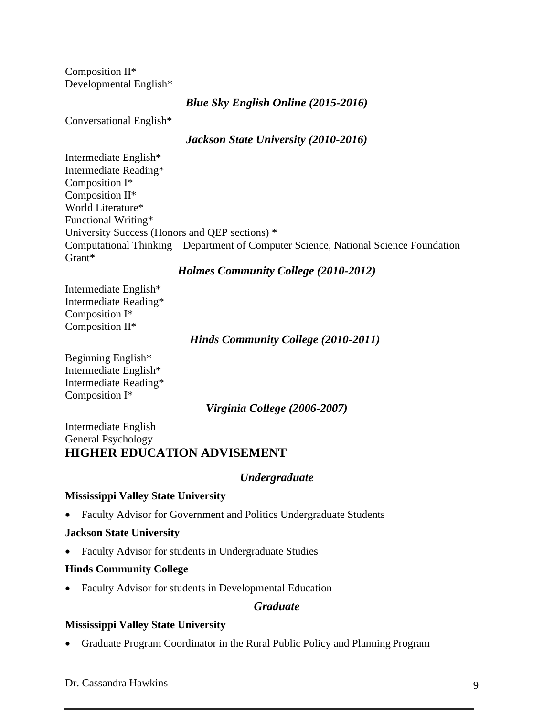Composition II\* Developmental English\*

*Blue Sky English Online (2015-2016)*

Conversational English\*

#### *Jackson State University (2010-2016)*

Intermediate English\* Intermediate Reading\* Composition I\* Composition II\* World Literature\* Functional Writing\* University Success (Honors and QEP sections) \* Computational Thinking – Department of Computer Science, National Science Foundation Grant\*

### *Holmes Community College (2010-2012)*

Intermediate English\* Intermediate Reading\* Composition I\* Composition II\*

*Hinds Community College (2010-2011)*

Beginning English\* Intermediate English\* Intermediate Reading\* Composition I\*

*Virginia College (2006-2007)*

Intermediate English General Psychology **HIGHER EDUCATION ADVISEMENT** 

#### *Undergraduate*

#### **Mississippi Valley State University**

• Faculty Advisor for Government and Politics Undergraduate Students

#### **Jackson State University**

• Faculty Advisor for students in Undergraduate Studies

#### **Hinds Community College**

• Faculty Advisor for students in Developmental Education

#### *Graduate*

#### **Mississippi Valley State University**

• Graduate Program Coordinator in the Rural Public Policy and Planning Program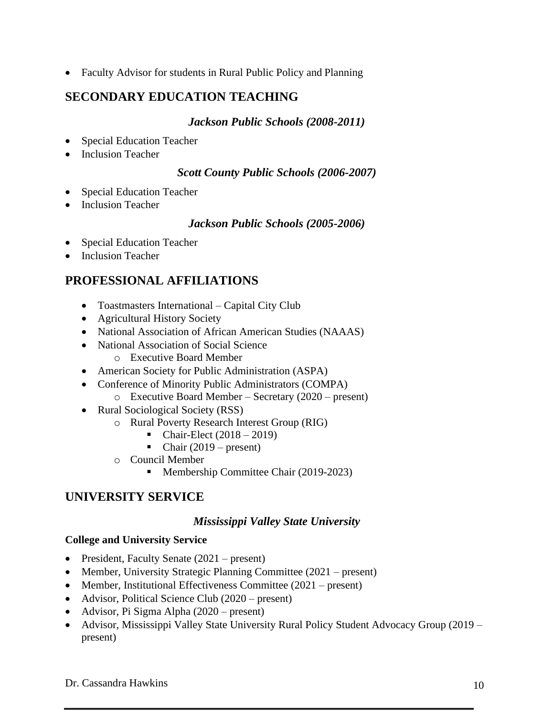• Faculty Advisor for students in Rural Public Policy and Planning

## **SECONDARY EDUCATION TEACHING**

#### *Jackson Public Schools (2008-2011)*

- Special Education Teacher
- Inclusion Teacher

#### *Scott County Public Schools (2006-2007)*

- Special Education Teacher
- **Inclusion Teacher**

#### *Jackson Public Schools (2005-2006)*

- Special Education Teacher
- Inclusion Teacher

## **PROFESSIONAL AFFILIATIONS**

- Toastmasters International Capital City Club
- Agricultural History Society
- National Association of African American Studies (NAAAS)
- National Association of Social Science
	- o Executive Board Member
- American Society for Public Administration (ASPA)
- Conference of Minority Public Administrators (COMPA)
	- o Executive Board Member Secretary (2020 present)
- Rural Sociological Society (RSS)
	- o Rural Poverty Research Interest Group (RIG)
		- Chair-Elect  $(2018 2019)$
		- Chair  $(2019 present)$
	- o Council Member
		- Membership Committee Chair (2019-2023)

## **UNIVERSITY SERVICE**

#### *Mississippi Valley State University*

#### **College and University Service**

- President, Faculty Senate (2021 present)
- Member, University Strategic Planning Committee (2021 present)
- Member, Institutional Effectiveness Committee (2021 present)
- Advisor, Political Science Club (2020 present)
- Advisor, Pi Sigma Alpha (2020 present)
- Advisor, Mississippi Valley State University Rural Policy Student Advocacy Group (2019 present)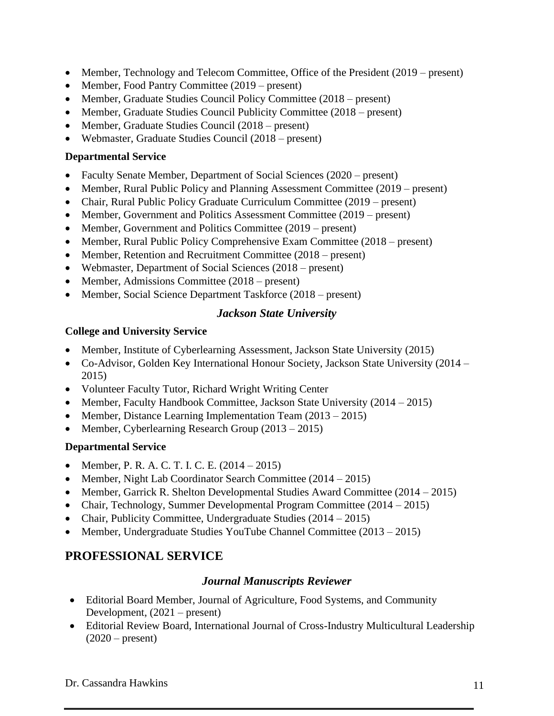- Member, Technology and Telecom Committee, Office of the President (2019 present)
- Member, Food Pantry Committee (2019 present)
- Member, Graduate Studies Council Policy Committee (2018 present)
- Member, Graduate Studies Council Publicity Committee (2018 present)
- Member, Graduate Studies Council (2018 present)
- Webmaster, Graduate Studies Council (2018 present)

#### **Departmental Service**

- Faculty Senate Member, Department of Social Sciences (2020 present)
- Member, Rural Public Policy and Planning Assessment Committee (2019 present)
- Chair, Rural Public Policy Graduate Curriculum Committee (2019 present)
- Member, Government and Politics Assessment Committee (2019 present)
- Member, Government and Politics Committee (2019 present)
- Member, Rural Public Policy Comprehensive Exam Committee (2018 present)
- Member, Retention and Recruitment Committee (2018 present)
- Webmaster, Department of Social Sciences (2018 present)
- Member, Admissions Committee (2018 present)
- Member, Social Science Department Taskforce (2018 present)

### *Jackson State University*

#### **College and University Service**

- Member, Institute of Cyberlearning Assessment, Jackson State University (2015)
- Co-Advisor, Golden Key International Honour Society, Jackson State University (2014 2015)
- Volunteer Faculty Tutor, Richard Wright Writing Center
- Member, Faculty Handbook Committee, Jackson State University (2014 2015)
- Member, Distance Learning Implementation Team (2013 2015)
- Member, Cyberlearning Research Group (2013 2015)

### **Departmental Service**

- Member, P. R. A. C. T. I. C. E.  $(2014 2015)$
- Member, Night Lab Coordinator Search Committee (2014 2015)
- Member, Garrick R. Shelton Developmental Studies Award Committee (2014 2015)
- Chair, Technology, Summer Developmental Program Committee (2014 2015)
- Chair, Publicity Committee, Undergraduate Studies (2014 2015)
- Member, Undergraduate Studies YouTube Channel Committee (2013 2015)

# **PROFESSIONAL SERVICE**

### *Journal Manuscripts Reviewer*

- Editorial Board Member, Journal of Agriculture, Food Systems, and Community Development, (2021 – present)
- Editorial Review Board, International Journal of Cross-Industry Multicultural Leadership  $(2020 - \text{present})$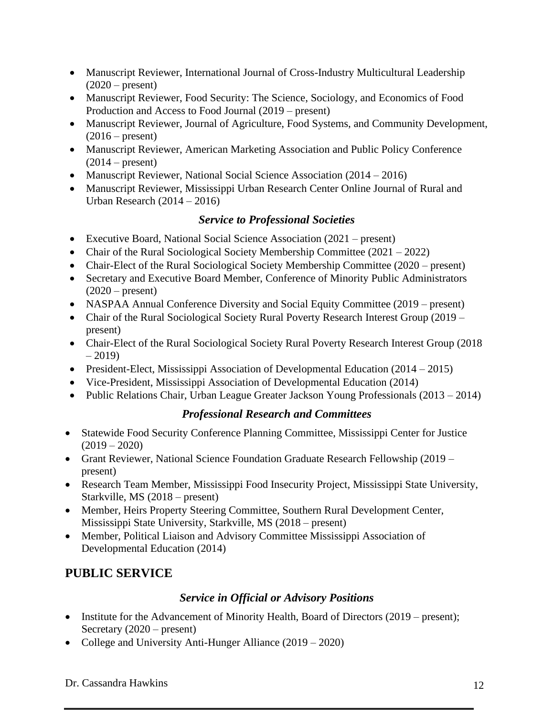- Manuscript Reviewer, International Journal of Cross-Industry Multicultural Leadership  $(2020 - present)$
- Manuscript Reviewer, Food Security: The Science, Sociology, and Economics of Food Production and Access to Food Journal (2019 – present)
- Manuscript Reviewer, Journal of Agriculture, Food Systems, and Community Development,  $(2016 - present)$
- Manuscript Reviewer, American Marketing Association and Public Policy Conference  $(2014 - present)$
- Manuscript Reviewer, National Social Science Association (2014 2016)
- Manuscript Reviewer, Mississippi Urban Research Center Online Journal of Rural and Urban Research (2014 – 2016)

## *Service to Professional Societies*

- Executive Board, National Social Science Association (2021 present)
- Chair of the Rural Sociological Society Membership Committee (2021 2022)
- Chair-Elect of the Rural Sociological Society Membership Committee (2020 present)
- Secretary and Executive Board Member, Conference of Minority Public Administrators (2020 – present)
- NASPAA Annual Conference Diversity and Social Equity Committee (2019 present)
- Chair of the Rural Sociological Society Rural Poverty Research Interest Group (2019 present)
- Chair-Elect of the Rural Sociological Society Rural Poverty Research Interest Group (2018)  $-2019$
- President-Elect, Mississippi Association of Developmental Education (2014 2015)
- Vice-President, Mississippi Association of Developmental Education (2014)
- Public Relations Chair, Urban League Greater Jackson Young Professionals (2013 2014)

### *Professional Research and Committees*

- Statewide Food Security Conference Planning Committee, Mississippi Center for Justice  $(2019 - 2020)$
- Grant Reviewer, National Science Foundation Graduate Research Fellowship (2019 present)
- Research Team Member, Mississippi Food Insecurity Project, Mississippi State University, Starkville, MS (2018 – present)
- Member, Heirs Property Steering Committee, Southern Rural Development Center, Mississippi State University, Starkville, MS (2018 – present)
- Member, Political Liaison and Advisory Committee Mississippi Association of Developmental Education (2014)

# **PUBLIC SERVICE**

### *Service in Official or Advisory Positions*

- Institute for the Advancement of Minority Health, Board of Directors (2019 present); Secretary (2020 – present)
- College and University Anti-Hunger Alliance (2019 2020)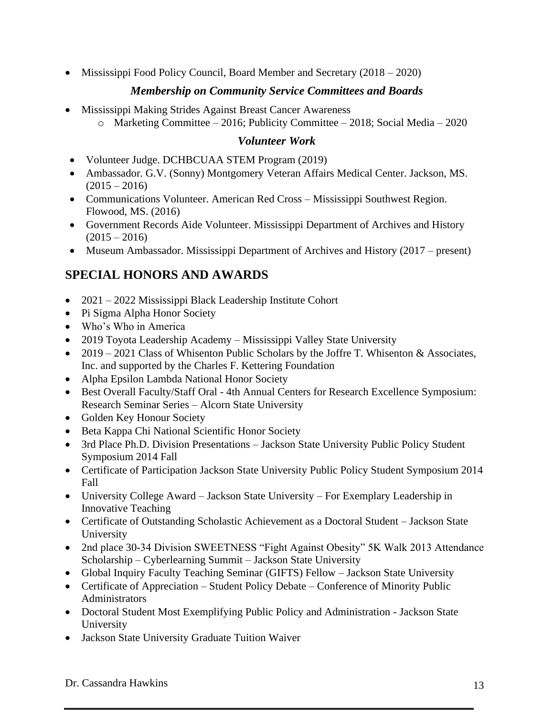• Mississippi Food Policy Council, Board Member and Secretary (2018 – 2020)

## *Membership on Community Service Committees and Boards*

- Mississippi Making Strides Against Breast Cancer Awareness
	- o Marketing Committee 2016; Publicity Committee 2018; Social Media 2020

## *Volunteer Work*

- Volunteer Judge. DCHBCUAA STEM Program (2019)
- Ambassador. G.V. (Sonny) Montgomery Veteran Affairs Medical Center. Jackson, MS.  $(2015 - 2016)$
- Communications Volunteer. American Red Cross Mississippi Southwest Region. Flowood, MS. (2016)
- Government Records Aide Volunteer. Mississippi Department of Archives and History  $(2015 - 2016)$
- Museum Ambassador. Mississippi Department of Archives and History (2017 present)

# **SPECIAL HONORS AND AWARDS**

- 2021 2022 Mississippi Black Leadership Institute Cohort
- Pi Sigma Alpha Honor Society
- Who's Who in America
- 2019 Toyota Leadership Academy Mississippi Valley State University
- 2019 2021 Class of Whisenton Public Scholars by the Joffre T. Whisenton & Associates, Inc. and supported by the Charles F. Kettering Foundation
- Alpha Epsilon Lambda National Honor Society
- Best Overall Faculty/Staff Oral 4th Annual Centers for Research Excellence Symposium: Research Seminar Series – Alcorn State University
- Golden Key Honour Society
- Beta Kappa Chi National Scientific Honor Society
- 3rd Place Ph.D. Division Presentations Jackson State University Public Policy Student Symposium 2014 Fall
- Certificate of Participation Jackson State University Public Policy Student Symposium 2014 Fall
- University College Award Jackson State University For Exemplary Leadership in Innovative Teaching
- Certificate of Outstanding Scholastic Achievement as a Doctoral Student Jackson State University
- 2nd place 30-34 Division SWEETNESS "Fight Against Obesity" 5K Walk 2013 Attendance Scholarship – Cyberlearning Summit – Jackson State University
- Global Inquiry Faculty Teaching Seminar (GIFTS) Fellow Jackson State University
- Certificate of Appreciation Student Policy Debate Conference of Minority Public Administrators
- Doctoral Student Most Exemplifying Public Policy and Administration Jackson State University
- Jackson State University Graduate Tuition Waiver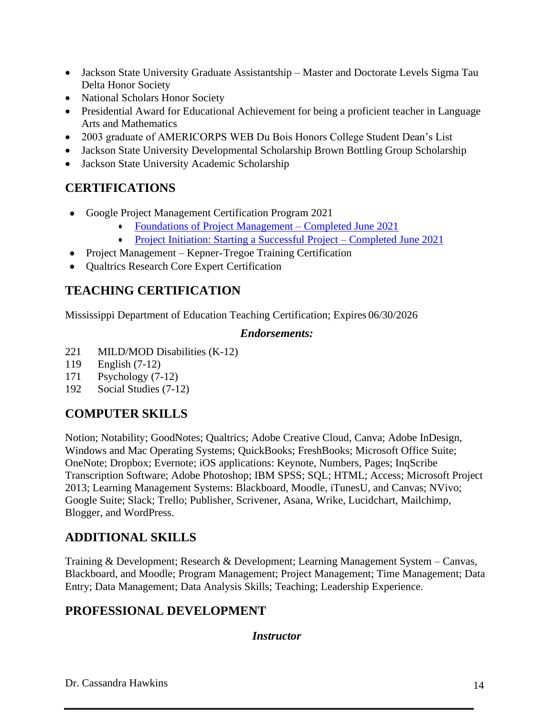- Jackson State University Graduate Assistantship Master and Doctorate Levels Sigma Tau Delta Honor Society
- National Scholars Honor Society
- Presidential Award for Educational Achievement for being a proficient teacher in Language Arts and Mathematics
- 2003 graduate of AMERICORPS WEB Du Bois Honors College Student Dean's List
- Jackson State University Developmental Scholarship Brown Bottling Group Scholarship
- Jackson State University Academic Scholarship

# **CERTIFICATIONS**

- Google Project Management Certification Program 2021
	- [Foundations of Project Management –](https://coursera.org/share/9c69f6c7b21abe50ca2f9520f7b88cdc) Completed June 2021
	- [Project Initiation: Starting a Successful Project –](https://coursera.org/share/b1cdff9502bb498e38fcc21af4891f16) Completed June 2021
- Project Management Kepner-Tregoe Training Certification
- Qualtrics Research Core Expert Certification

## **TEACHING CERTIFICATION**

Mississippi Department of Education Teaching Certification; Expires 06/30/2026

### *Endorsements:*

- 221 MILD/MOD Disabilities (K-12)
- 119 English (7-12)
- 171 Psychology (7-12)
- 192 Social Studies (7-12)

## **COMPUTER SKILLS**

Notion; Notability; GoodNotes; Qualtrics; Adobe Creative Cloud, Canva; Adobe InDesign, Windows and Mac Operating Systems; QuickBooks; FreshBooks; Microsoft Office Suite; OneNote; Dropbox; Evernote; iOS applications: Keynote, Numbers, Pages; InqScribe Transcription Software; Adobe Photoshop; IBM SPSS; SQL; HTML; Access; Microsoft Project 2013; Learning Management Systems: Blackboard, Moodle, iTunesU, and Canvas; NVivo; Google Suite; Slack; Trello; Publisher, Scrivener, Asana, Wrike, Lucidchart, Mailchimp, Blogger, and WordPress.

# **ADDITIONAL SKILLS**

Training & Development; Research & Development; Learning Management System – Canvas, Blackboard, and Moodle; Program Management; Project Management; Time Management; Data Entry; Data Management; Data Analysis Skills; Teaching; Leadership Experience.

## **PROFESSIONAL DEVELOPMENT**

*Instructor*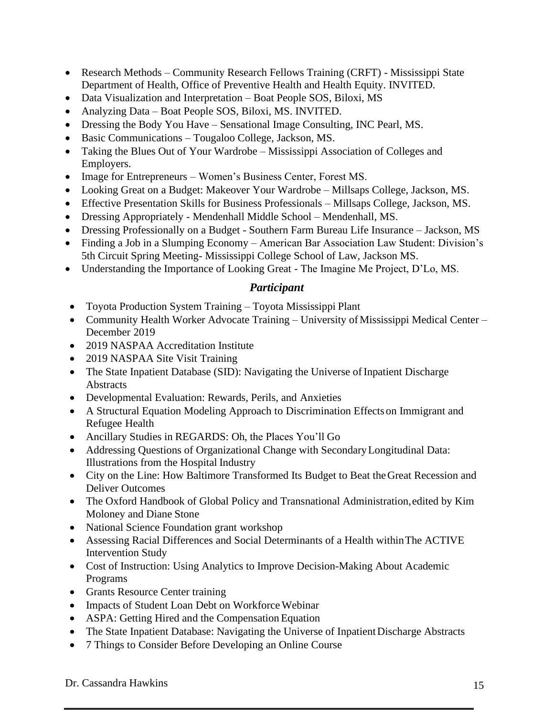- Research Methods Community Research Fellows Training (CRFT) Mississippi State Department of Health, Office of Preventive Health and Health Equity. INVITED.
- Data Visualization and Interpretation Boat People SOS, Biloxi, MS
- Analyzing Data Boat People SOS, Biloxi, MS. INVITED.
- Dressing the Body You Have Sensational Image Consulting, INC Pearl, MS.
- Basic Communications Tougaloo College, Jackson, MS.
- Taking the Blues Out of Your Wardrobe Mississippi Association of Colleges and Employers.
- Image for Entrepreneurs Women's Business Center, Forest MS.
- Looking Great on a Budget: Makeover Your Wardrobe Millsaps College, Jackson, MS.
- Effective Presentation Skills for Business Professionals Millsaps College, Jackson, MS.
- Dressing Appropriately Mendenhall Middle School Mendenhall, MS.
- Dressing Professionally on a Budget Southern Farm Bureau Life Insurance Jackson, MS
- Finding a Job in a Slumping Economy American Bar Association Law Student: Division's 5th Circuit Spring Meeting- Mississippi College School of Law, Jackson MS.
- Understanding the Importance of Looking Great The Imagine Me Project, D'Lo, MS.

## *Participant*

- Toyota Production System Training Toyota Mississippi Plant
- Community Health Worker Advocate Training University of Mississippi Medical Center December 2019
- 2019 NASPAA Accreditation Institute
- 2019 NASPAA Site Visit Training
- The State Inpatient Database (SID): Navigating the Universe of Inpatient Discharge **Abstracts**
- Developmental Evaluation: Rewards, Perils, and Anxieties
- A Structural Equation Modeling Approach to Discrimination Effects on Immigrant and Refugee Health
- Ancillary Studies in REGARDS: Oh, the Places You'll Go
- Addressing Questions of Organizational Change with Secondary Longitudinal Data: Illustrations from the Hospital Industry
- City on the Line: How Baltimore Transformed Its Budget to Beat theGreat Recession and Deliver Outcomes
- The Oxford Handbook of Global Policy and Transnational Administration,edited by Kim Moloney and Diane Stone
- National Science Foundation grant workshop
- Assessing Racial Differences and Social Determinants of a Health withinThe ACTIVE Intervention Study
- Cost of Instruction: Using Analytics to Improve Decision-Making About Academic Programs
- Grants Resource Center training
- Impacts of Student Loan Debt on Workforce Webinar
- ASPA: Getting Hired and the Compensation Equation
- The State Inpatient Database: Navigating the Universe of Inpatient Discharge Abstracts
- 7 Things to Consider Before Developing an Online Course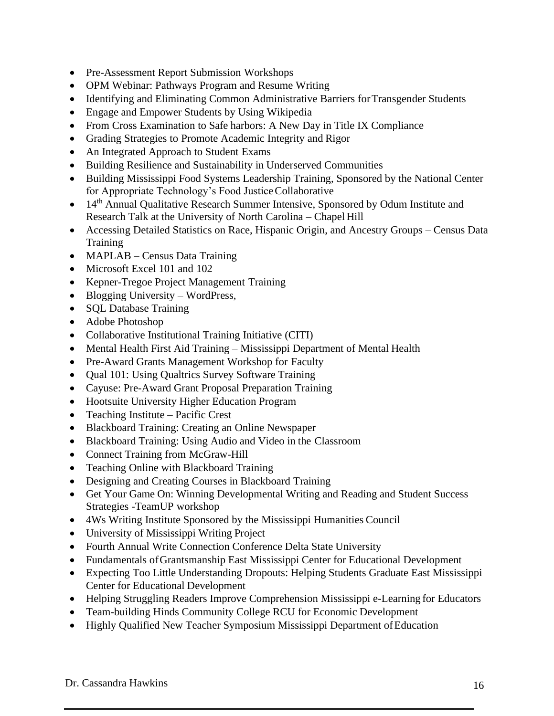- Pre-Assessment Report Submission Workshops
- OPM Webinar: Pathways Program and Resume Writing
- Identifying and Eliminating Common Administrative Barriers for Transgender Students
- Engage and Empower Students by Using Wikipedia
- From Cross Examination to Safe harbors: A New Day in Title IX Compliance
- Grading Strategies to Promote Academic Integrity and Rigor
- An Integrated Approach to Student Exams
- Building Resilience and Sustainability in Underserved Communities
- Building Mississippi Food Systems Leadership Training, Sponsored by the National Center for Appropriate Technology's Food JusticeCollaborative
- 14<sup>th</sup> Annual Qualitative Research Summer Intensive, Sponsored by Odum Institute and Research Talk at the University of North Carolina – Chapel Hill
- Accessing Detailed Statistics on Race, Hispanic Origin, and Ancestry Groups Census Data **Training**
- MAPLAB Census Data Training
- Microsoft Excel 101 and 102
- Kepner-Tregoe Project Management Training
- Blogging University WordPress,
- SQL Database Training
- Adobe Photoshop
- Collaborative Institutional Training Initiative (CITI)
- Mental Health First Aid Training Mississippi Department of Mental Health
- Pre-Award Grants Management Workshop for Faculty
- Qual 101: Using Qualtrics Survey Software Training
- Cayuse: Pre-Award Grant Proposal Preparation Training
- Hootsuite University Higher Education Program
- Teaching Institute Pacific Crest
- Blackboard Training: Creating an Online Newspaper
- Blackboard Training: Using Audio and Video in the Classroom
- Connect Training from McGraw-Hill
- Teaching Online with Blackboard Training
- Designing and Creating Courses in Blackboard Training
- Get Your Game On: Winning Developmental Writing and Reading and Student Success Strategies -TeamUP workshop
- 4Ws Writing Institute Sponsored by the Mississippi Humanities Council
- University of Mississippi Writing Project
- Fourth Annual Write Connection Conference Delta State University
- Fundamentals ofGrantsmanship East Mississippi Center for Educational Development
- Expecting Too Little Understanding Dropouts: Helping Students Graduate East Mississippi Center for Educational Development
- Helping Struggling Readers Improve Comprehension Mississippi e-Learning for Educators
- Team-building Hinds Community College RCU for Economic Development
- Highly Qualified New Teacher Symposium Mississippi Department of Education